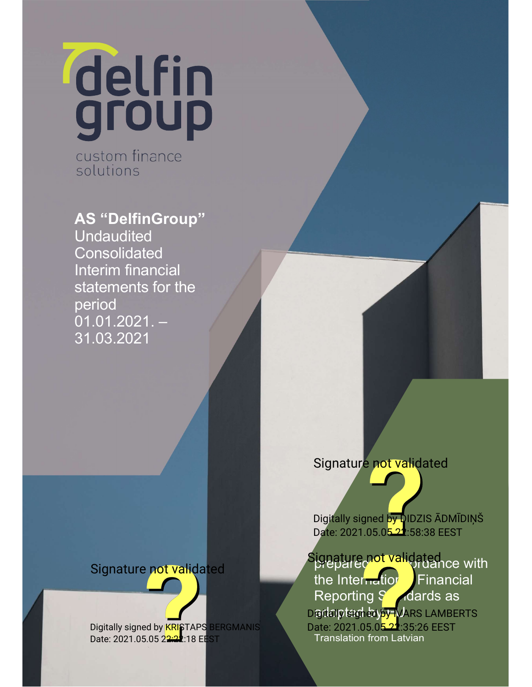delfin

custom finance solutions

AS "DelfinGroup"

**Undaudited Consolidated** Interim financial statements for the period  $01.01.2021. -$ 31.03.2021

# Signature not validated

Digitally signed by <mark>KRIS</mark>TAPS BERGMANIS Date: 2021.05.05 2<del>2:22</del>:18 EEST

## Signature not validated

Digitally signed by DIDZIS ADMIDIŅŠ Date: 2021.05.05.22:58:38 EEST

Signature not validated ce with the Internation Financial Reporting Standards as Digital ptem bay EU ARS LAMBERTS Translation from Latvian Date: 2021.05.05.22:35:26 EEST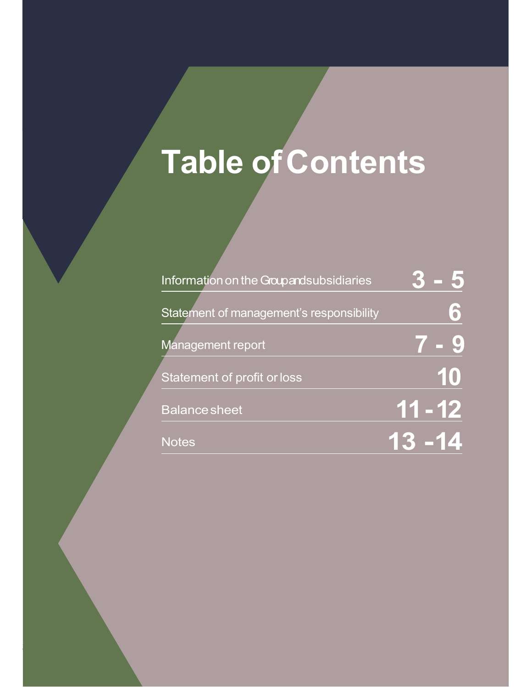# Table of Contents

[Type here]

2 2

| Information on the Groupandsubsidiaries  |            |
|------------------------------------------|------------|
| Statement of management's responsibility | $\delta$   |
| Management report                        |            |
| Statement of profit or loss              | 10         |
| <b>Balance sheet</b>                     | 11 - 12    |
| <b>Notes</b>                             | $\sqrt{ }$ |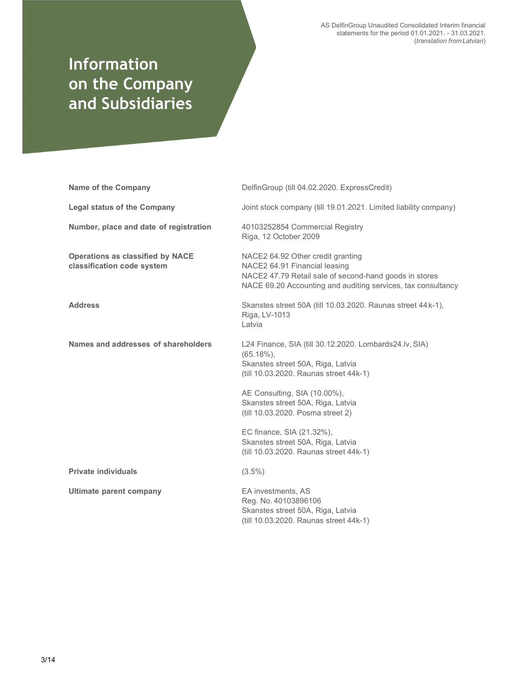AS DelfinGroup Unaudited Consolidated Interim financial statements for the period 01.01.2021. - 31.03.2021. (translation from Latvian)

# Information on the Company and Subsidiaries

| <b>Name of the Company</b>                                            | DelfinGroup (till 04.02.2020. ExpressCredit)                                                                                                                                                                               |
|-----------------------------------------------------------------------|----------------------------------------------------------------------------------------------------------------------------------------------------------------------------------------------------------------------------|
| <b>Legal status of the Company</b>                                    | Joint stock company (till 19.01.2021. Limited liability company)                                                                                                                                                           |
| Number, place and date of registration                                | 40103252854 Commercial Registry<br>Riga, 12 October 2009                                                                                                                                                                   |
| <b>Operations as classified by NACE</b><br>classification code system | NACE2 64.92 Other credit granting<br>NACE2 64.91 Financial leasing<br>NACE2 47.79 Retail sale of second-hand goods in stores<br>NACE 69.20 Accounting and auditing services, tax consultancy                               |
| <b>Address</b>                                                        | Skanstes street 50A (till 10.03.2020. Raunas street 44k-1),<br>Riga, LV-1013<br>Latvia                                                                                                                                     |
| Names and addresses of shareholders                                   | L24 Finance, SIA (till 30.12.2020. Lombards24.lv, SIA)<br>$(65.18\%),$<br>Skanstes street 50A, Riga, Latvia<br>(till 10.03.2020. Raunas street 44k-1)<br>AE Consulting, SIA (10.00%),<br>Skanstes street 50A, Riga, Latvia |
|                                                                       | (till 10.03.2020. Posma street 2)<br>EC finance, SIA (21.32%),<br>Skanstes street 50A, Riga, Latvia<br>(till 10.03.2020. Raunas street 44k-1)                                                                              |
| <b>Private individuals</b>                                            | $(3.5\%)$                                                                                                                                                                                                                  |
| Ultimate parent company                                               | EA investments, AS<br>Reg. No. 40103896106<br>Skanstes street 50A, Riga, Latvia<br>(till 10.03.2020. Raunas street 44k-1)                                                                                                  |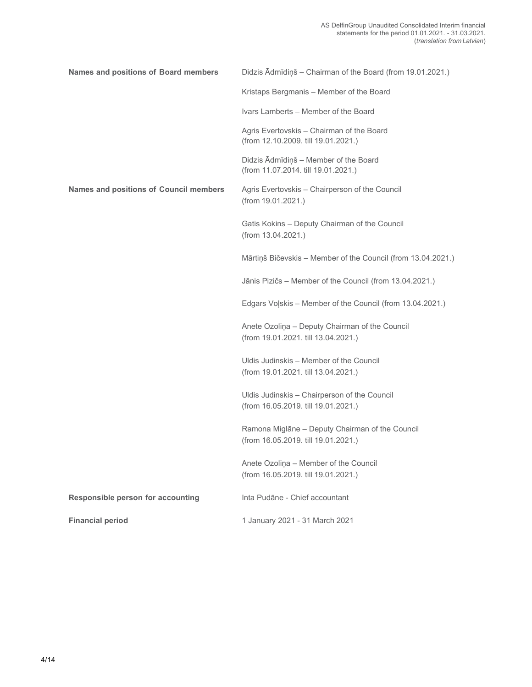| Names and positions of Board members          | Didzis Ādmīdiņš - Chairman of the Board (from 19.01.2021.)                             |
|-----------------------------------------------|----------------------------------------------------------------------------------------|
|                                               | Kristaps Bergmanis - Member of the Board                                               |
|                                               | Ivars Lamberts - Member of the Board                                                   |
|                                               | Agris Evertovskis - Chairman of the Board<br>(from 12.10.2009. till 19.01.2021.)       |
|                                               | Didzis Ādmīdiņš - Member of the Board<br>(from 11.07.2014. till 19.01.2021.)           |
| <b>Names and positions of Council members</b> | Agris Evertovskis – Chairperson of the Council<br>(from 19.01.2021.)                   |
|                                               | Gatis Kokins – Deputy Chairman of the Council<br>(from 13.04.2021.)                    |
|                                               | Mārtiņš Bičevskis - Member of the Council (from 13.04.2021.)                           |
|                                               | Jānis Pizičs – Member of the Council (from 13.04.2021.)                                |
|                                               | Edgars Volskis – Member of the Council (from 13.04.2021.)                              |
|                                               | Anete Ozoliņa - Deputy Chairman of the Council<br>(from 19.01.2021. till 13.04.2021.)  |
|                                               | Uldis Judinskis - Member of the Council<br>(from 19.01.2021. till 13.04.2021.)         |
|                                               | Uldis Judinskis – Chairperson of the Council<br>(from 16.05.2019. till 19.01.2021.)    |
|                                               | Ramona Miglāne - Deputy Chairman of the Council<br>(from 16.05.2019. till 19.01.2021.) |
|                                               | Anete Ozoliņa - Member of the Council<br>(from 16.05.2019. till 19.01.2021.)           |
| Responsible person for accounting             | Inta Pudāne - Chief accountant                                                         |
| <b>Financial period</b>                       | 1 January 2021 - 31 March 2021                                                         |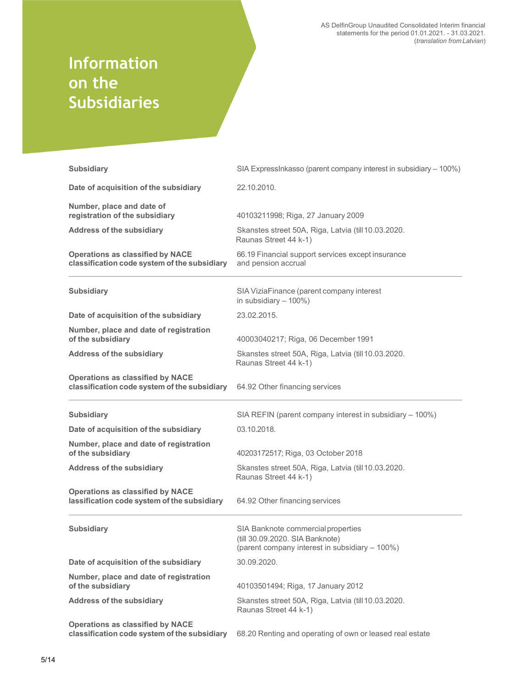AS DelfinGroup Unaudited Consolidated Interim financial statements for the period 01.01.2021. - 31.03.2021. (translation from Latvian)

# Information on the Subsidiaries

| <b>Subsidiary</b>                                                                               | SIA ExpressInkasso (parent company interest in subsidiary - 100%)                                                       |
|-------------------------------------------------------------------------------------------------|-------------------------------------------------------------------------------------------------------------------------|
| Date of acquisition of the subsidiary                                                           | 22.10.2010.                                                                                                             |
| Number, place and date of<br>registration of the subsidiary<br><b>Address of the subsidiary</b> | 40103211998; Riga, 27 January 2009<br>Skanstes street 50A, Riga, Latvia (till 10.03.2020.                               |
| <b>Operations as classified by NACE</b><br>classification code system of the subsidiary         | Raunas Street 44 k-1)<br>66.19 Financial support services except insurance<br>and pension accrual                       |
| <b>Subsidiary</b>                                                                               | SIA ViziaFinance (parent company interest<br>in subsidiary $-100\%$ )                                                   |
| Date of acquisition of the subsidiary                                                           | 23.02.2015.                                                                                                             |
| Number, place and date of registration<br>of the subsidiary                                     | 40003040217; Riga, 06 December 1991                                                                                     |
| <b>Address of the subsidiary</b>                                                                | Skanstes street 50A, Riga, Latvia (till 10.03.2020.<br>Raunas Street 44 k-1)                                            |
| <b>Operations as classified by NACE</b><br>classification code system of the subsidiary         | 64.92 Other financing services                                                                                          |
|                                                                                                 |                                                                                                                         |
| <b>Subsidiary</b>                                                                               | SIA REFIN (parent company interest in subsidiary - 100%)                                                                |
| Date of acquisition of the subsidiary                                                           | 03.10.2018.                                                                                                             |
| Number, place and date of registration<br>of the subsidiary                                     | 40203172517; Riga, 03 October 2018                                                                                      |
| <b>Address of the subsidiary</b>                                                                | Skanstes street 50A, Riga, Latvia (till 10.03.2020.<br>Raunas Street 44 k-1)                                            |
| <b>Operations as classified by NACE</b><br>lassification code system of the subsidiary          | 64.92 Other financing services                                                                                          |
| <b>Subsidiary</b>                                                                               | SIA Banknote commercial properties<br>(till 30.09.2020. SIA Banknote)<br>(parent company interest in subsidiary - 100%) |
| Date of acquisition of the subsidiary                                                           | 30.09.2020.                                                                                                             |
| Number, place and date of registration<br>of the subsidiary                                     | 40103501494; Riga, 17 January 2012                                                                                      |
| <b>Address of the subsidiary</b>                                                                | Skanstes street 50A, Riga, Latvia (till 10.03.2020.<br>Raunas Street 44 k-1)                                            |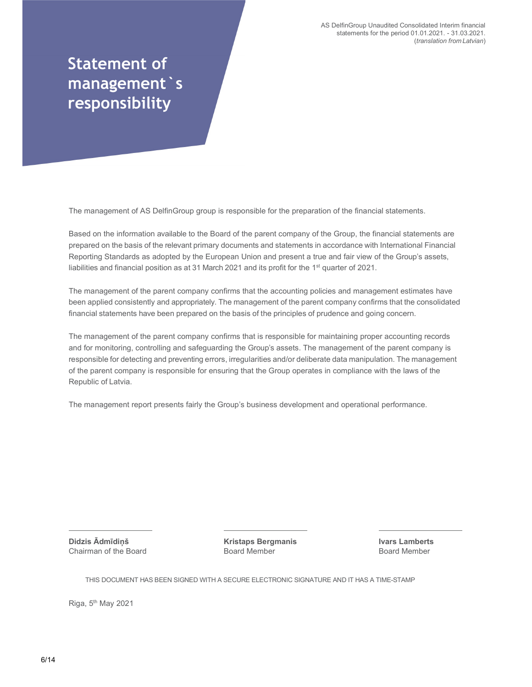AS DelfinGroup Unaudited Consolidated Interim financial statements for the period 01.01.2021. - 31.03.2021. (translation from Latvian)

# Statement of management`s responsibility

The management of AS DelfinGroup group is responsible for the preparation of the financial statements.

Based on the information available to the Board of the parent company of the Group, the financial statements are prepared on the basis of the relevant primary documents and statements in accordance with International Financial Reporting Standards as adopted by the European Union and present a true and fair view of the Group's assets, liabilities and financial position as at 31 March 2021 and its profit for the  $1<sup>st</sup>$  quarter of 2021.

The management of the parent company confirms that the accounting policies and management estimates have been applied consistently and appropriately. The management of the parent company confirms that the consolidated financial statements have been prepared on the basis of the principles of prudence and going concern.

The management of the parent company confirms that is responsible for maintaining proper accounting records and for monitoring, controlling and safeguarding the Group's assets. The management of the parent company is responsible for detecting and preventing errors, irregularities and/or deliberate data manipulation. The management of the parent company is responsible for ensuring that the Group operates in compliance with the laws of the Republic of Latvia.

The management report presents fairly the Group's business development and operational performance.

Didzis Ādmīdiņš Chairman of the Board

Kristaps Bergmanis Board Member

Ivars Lamberts Board Member

THIS DOCUMENT HAS BEEN SIGNED WITH A SECURE ELECTRONIC SIGNATURE AND IT HAS A TIME-STAMP

Riga, 5th May 2021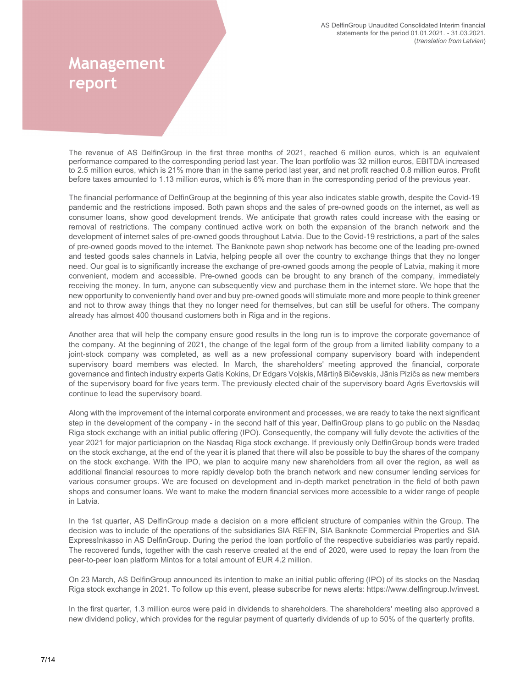# **Management** report

The revenue of AS DelfinGroup in the first three months of 2021, reached 6 million euros, which is an equivalent performance compared to the corresponding period last year. The loan portfolio was 32 million euros, EBITDA increased to 2.5 million euros, which is 21% more than in the same period last year, and net profit reached 0.8 million euros. Profit before taxes amounted to 1.13 million euros, which is 6% more than in the corresponding period of the previous year.

The financial performance of DelfinGroup at the beginning of this year also indicates stable growth, despite the Covid-19 pandemic and the restrictions imposed. Both pawn shops and the sales of pre-owned goods on the internet, as well as consumer loans, show good development trends. We anticipate that growth rates could increase with the easing or removal of restrictions. The company continued active work on both the expansion of the branch network and the development of internet sales of pre-owned goods throughout Latvia. Due to the Covid-19 restrictions, a part of the sales of pre-owned goods moved to the internet. The Banknote pawn shop network has become one of the leading pre-owned and tested goods sales channels in Latvia, helping people all over the country to exchange things that they no longer need. Our goal is to significantly increase the exchange of pre-owned goods among the people of Latvia, making it more convenient, modern and accessible. Pre-owned goods can be brought to any branch of the company, immediately receiving the money. In turn, anyone can subsequently view and purchase them in the internet store. We hope that the new opportunity to conveniently hand over and buy pre-owned goods will stimulate more and more people to think greener and not to throw away things that they no longer need for themselves, but can still be useful for others. The company already has almost 400 thousand customers both in Riga and in the regions.

Another area that will help the company ensure good results in the long run is to improve the corporate governance of the company. At the beginning of 2021, the change of the legal form of the group from a limited liability company to a joint-stock company was completed, as well as a new professional company supervisory board with independent supervisory board members was elected. In March, the shareholders' meeting approved the financial, corporate governance and fintech industry experts Gatis Kokins, Dr Edgars Voļskis, Mārtiņš Bičevskis, Jānis Pizičs as new members of the supervisory board for five years term. The previously elected chair of the supervisory board Agris Evertovskis will continue to lead the supervisory board.

Along with the improvement of the internal corporate environment and processes, we are ready to take the next significant step in the development of the company - in the second half of this year, DelfinGroup plans to go public on the Nasdaq Riga stock exchange with an initial public offering (IPO). Consequently, the company will fully devote the activities of the year 2021 for major particiaprion on the Nasdaq Riga stock exchange. If previously only DelfinGroup bonds were traded on the stock exchange, at the end of the year it is planed that there will also be possible to buy the shares of the company on the stock exchange. With the IPO, we plan to acquire many new shareholders from all over the region, as well as additional financial resources to more rapidly develop both the branch network and new consumer lending services for various consumer groups. We are focused on development and in-depth market penetration in the field of both pawn shops and consumer loans. We want to make the modern financial services more accessible to a wider range of people in Latvia.

In the 1st quarter, AS DelfinGroup made a decision on a more efficient structure of companies within the Group. The decision was to include of the operations of the subsidiaries SIA REFIN, SIA Banknote Commercial Properties and SIA ExpressInkasso in AS DelfinGroup. During the period the loan portfolio of the respective subsidiaries was partly repaid. The recovered funds, together with the cash reserve created at the end of 2020, were used to repay the loan from the peer-to-peer loan platform Mintos for a total amount of EUR 4.2 million.

On 23 March, AS DelfinGroup announced its intention to make an initial public offering (IPO) of its stocks on the Nasdaq Riga stock exchange in 2021. To follow up this event, please subscribe for news alerts: https://www.delfingroup.lv/invest.

In the first quarter, 1.3 million euros were paid in dividends to shareholders. The shareholders' meeting also approved a new dividend policy, which provides for the regular payment of quarterly dividends of up to 50% of the quarterly profits.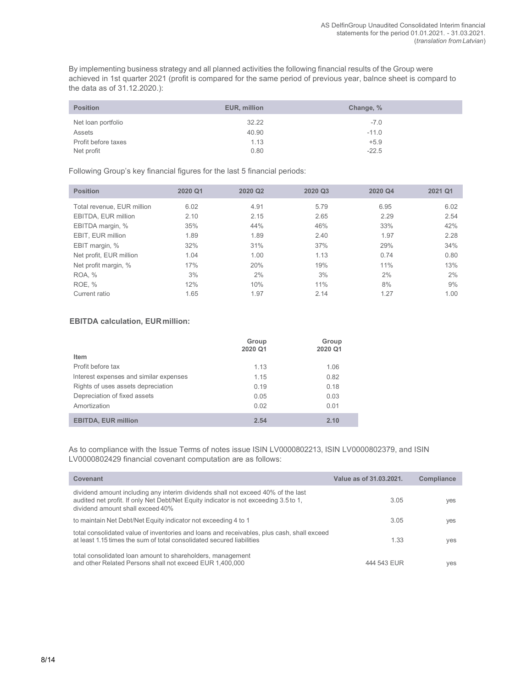By implementing business strategy and all planned activities the following financial results of the Group were achieved in 1st quarter 2021 (profit is compared for the same period of previous year, balnce sheet is compard to the data as of 31.12.2020.):

| <b>Position</b>     | EUR, million | Change, % |  |
|---------------------|--------------|-----------|--|
| Net loan portfolio  | 32.22        | $-7.0$    |  |
| <b>Assets</b>       | 40.90        | $-11.0$   |  |
| Profit before taxes | 1.13         | $+5.9$    |  |
| Net profit          | 0.80         | $-22.5$   |  |

Following Group's key financial figures for the last 5 financial periods:

| <b>Position</b>            | 2020 Q1 | 2020 Q2 | 2020 Q3 | 2020 Q4 | 2021 Q1 |
|----------------------------|---------|---------|---------|---------|---------|
| Total revenue, EUR million | 6.02    | 4.91    | 5.79    | 6.95    | 6.02    |
| EBITDA, EUR million        | 2.10    | 2.15    | 2.65    | 2.29    | 2.54    |
| EBITDA margin, %           | 35%     | 44%     | 46%     | 33%     | 42%     |
| EBIT. EUR million          | 1.89    | 1.89    | 2.40    | 1.97    | 2.28    |
| EBIT margin, %             | 32%     | 31%     | 37%     | 29%     | 34%     |
| Net profit, EUR million    | 1.04    | 1.00    | 1.13    | 0.74    | 0.80    |
| Net profit margin, %       | 17%     | 20%     | 19%     | 11%     | 13%     |
| <b>ROA, %</b>              | 3%      | 2%      | 3%      | 2%      | 2%      |
| ROE, %                     | 12%     | 10%     | 11%     | 8%      | 9%      |
| Current ratio              | 1.65    | 1.97    | 2.14    | 1.27    | 1.00    |

#### EBITDA calculation, EURmillion:

|                                        | Group<br>2020 Q1 | Group<br>2020 Q1 |
|----------------------------------------|------------------|------------------|
| Item                                   |                  |                  |
| Profit before tax                      | 1.13             | 1.06             |
| Interest expenses and similar expenses | 1.15             | 0.82             |
| Rights of uses assets depreciation     | 0.19             | 0.18             |
| Depreciation of fixed assets           | 0.05             | 0.03             |
| Amortization                           | 0.02             | 0.01             |
| <b>EBITDA, EUR million</b>             | 2.54             | 2.10             |

As to compliance with the Issue Terms of notes issue ISIN LV0000802213, ISIN LV0000802379, and ISIN LV0000802429 financial covenant computation are as follows:

| Covenant                                                                                                                                                                                                     | Value as of 31.03.2021. | <b>Compliance</b> |
|--------------------------------------------------------------------------------------------------------------------------------------------------------------------------------------------------------------|-------------------------|-------------------|
| dividend amount including any interim dividends shall not exceed 40% of the last<br>audited net profit. If only Net Debt/Net Equity indicator is not exceeding 3.5 to 1,<br>dividend amount shall exceed 40% | 3.05                    | yes               |
| to maintain Net Debt/Net Equity indicator not exceeding 4 to 1                                                                                                                                               | 3.05                    | yes               |
| total consolidated value of inventories and loans and receivables, plus cash, shall exceed<br>at least 1.15 times the sum of total consolidated secured liabilities                                          | 1.33                    | yes               |
| total consolidated loan amount to shareholders, management<br>and other Related Persons shall not exceed EUR 1,400,000                                                                                       | 444 543 EUR             | ves               |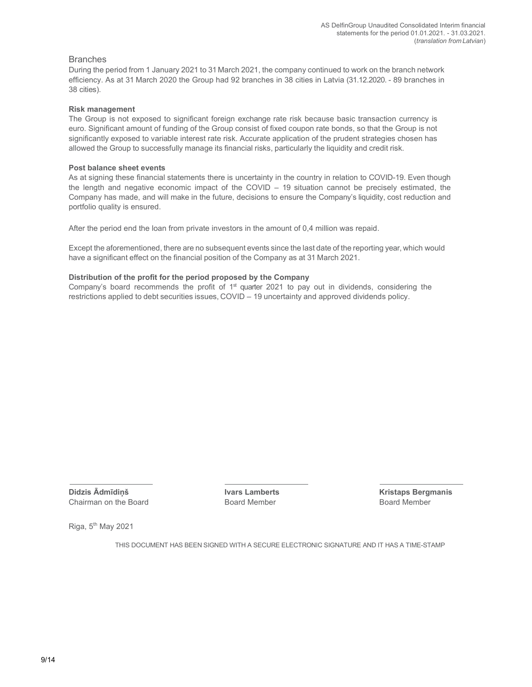#### **Branches**

During the period from 1 January 2021 to 31 March 2021, the company continued to work on the branch network efficiency. As at 31 March 2020 the Group had 92 branches in 38 cities in Latvia (31.12.2020. - 89 branches in 38 cities).

#### Risk management

The Group is not exposed to significant foreign exchange rate risk because basic transaction currency is euro. Significant amount of funding of the Group consist of fixed coupon rate bonds, so that the Group is not significantly exposed to variable interest rate risk. Accurate application of the prudent strategies chosen has allowed the Group to successfully manage its financial risks, particularly the liquidity and credit risk.

#### Post balance sheet events

As at signing these financial statements there is uncertainty in the country in relation to COVID-19. Even though the length and negative economic impact of the COVID – 19 situation cannot be precisely estimated, the Company has made, and will make in the future, decisions to ensure the Company's liquidity, cost reduction and portfolio quality is ensured.

After the period end the loan from private investors in the amount of 0,4 million was repaid.

Except the aforementioned, there are no subsequent events since the last date of the reporting year, which would have a significant effect on the financial position of the Company as at 31 March 2021.

#### Distribution of the profit for the period proposed by the Company

Company's board recommends the profit of  $1<sup>st</sup>$  quarter 2021 to pay out in dividends, considering the restrictions applied to debt securities issues, COVID – 19 uncertainty and approved dividends policy.

Didzis Ādmīdiņš **Ivars Lamberts** Ivars Lamberts Kristaps Bergmanis Chairman on the Board **Board Board Member** Board Member Board Member Board Member

Riga,  $5<sup>th</sup>$  May 2021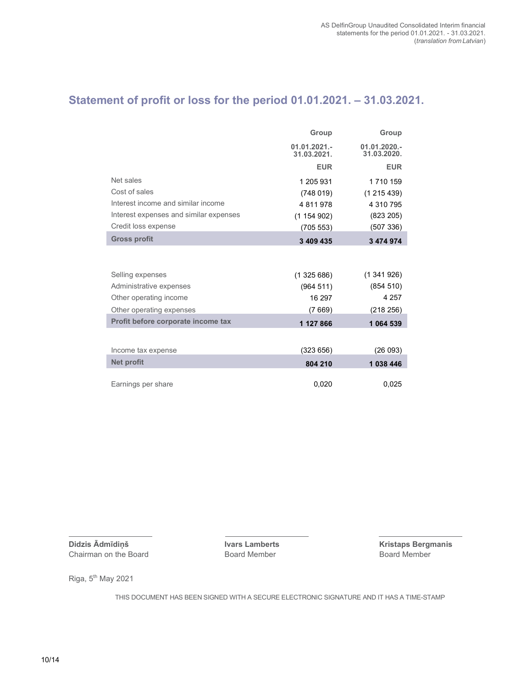## Statement of profit or loss for the period 01.01.2021. – 31.03.2021.

|                                        | Group                         | Group                          |
|----------------------------------------|-------------------------------|--------------------------------|
|                                        | $01.01.2021 -$<br>31.03.2021. | $01.01.2020. -$<br>31.03.2020. |
|                                        | <b>EUR</b>                    | <b>EUR</b>                     |
| Net sales                              | 1 205 931                     | 1710159                        |
| Cost of sales                          | (748019)                      | (1215439)                      |
| Interest income and similar income     | 4811978                       | 4 310 795                      |
| Interest expenses and similar expenses | (1154902)                     | (823 205)                      |
| Credit loss expense                    | (705 553)                     | (507 336)                      |
| <b>Gross profit</b>                    | 3 409 435                     | 3 474 974                      |
|                                        |                               |                                |
| Selling expenses                       | (1325686)                     | (1341926)                      |
| Administrative expenses                | (964511)                      | (854 510)                      |
| Other operating income                 | 16 297                        | 4 2 5 7                        |
| Other operating expenses               | (7669)                        | (218 256)                      |
| Profit before corporate income tax     | 1 127 866                     | 1 064 539                      |
|                                        |                               |                                |
| Income tax expense                     | (323656)                      | (26093)                        |
| <b>Net profit</b>                      | 804 210                       | 1038446                        |
| Earnings per share                     | 0,020                         | 0,025                          |

**Didzis Ādmīdiņš IVars Lamberts Ivars Lamberts** Kristaps Bergmanis Chairman on the Board **International Chairman** Board Member Chairman on the Board **Board Board Member** 

Riga, 5<sup>th</sup> May 2021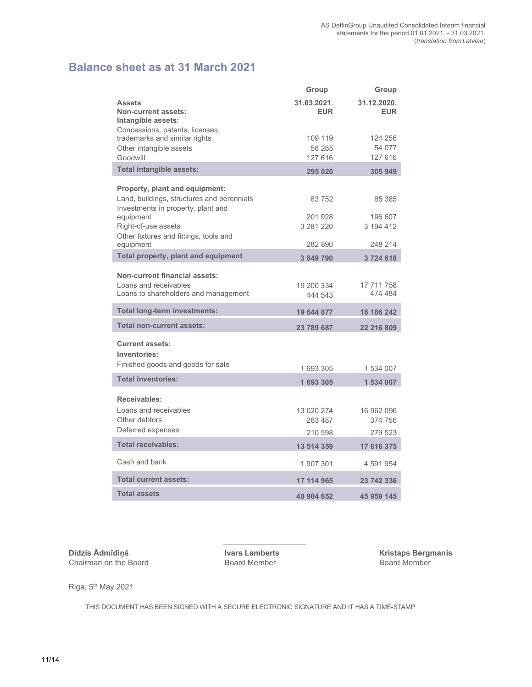## Balance sheet as at 31 March 2021

|                                                                                  | Group               | Group                     |
|----------------------------------------------------------------------------------|---------------------|---------------------------|
| <b>Assets</b><br>Non-current assets:<br>Intangible assets:                       | 31.03.2021.<br>EUR. | 31.12.2020.<br><b>EUR</b> |
| Concessions, patents, licenses,                                                  |                     |                           |
| trademarks and similar rights                                                    | 109 119             | 124 256                   |
| Other intangible assets<br>Goodwill                                              | 58 285<br>127 616   | 54 077<br>127 616         |
| Total intangible assets:                                                         | 295 020             | 305 949                   |
| Property, plant and equipment:                                                   |                     |                           |
| Land, buildings, structures and perennials<br>Investments in property, plant and | 83 752              | 85 385                    |
| equipment                                                                        | 201 928             | 196 607                   |
| Right-of-use assets                                                              | 3 281 220           | 3 194 412                 |
| Other fixtures and fittings, tools and<br>equipment                              | 282 890             | 248 214                   |
| <b>Total property, plant and equipment</b>                                       | 3 849 790           | 3724618                   |
|                                                                                  |                     |                           |
| <b>Non-current financial assets:</b><br>Loans and receivables                    | 19 200 334          | 17 711 758                |
| Loans to shareholders and management                                             | 444 543             | 474 484                   |
| <b>Total long-term investments:</b>                                              | 19 644 877          | 18 186 242                |
| <b>Total non-current assets:</b>                                                 | 23 789 687          | 22 216 809                |
| <b>Current assets:</b><br>Inventories:                                           |                     |                           |
| Finished goods and goods for sale                                                | 1 693 305           | 1 534 007                 |
| <b>Total inventories:</b>                                                        | 1693305             | 1 534 007                 |
| Receivables:                                                                     |                     |                           |
| Loans and receivables                                                            | 13 020 274          | 16 962 096                |
| Other debtors                                                                    | 283 487             | 374 756                   |
| Deferred expenses                                                                | 210 598             | 279 523                   |
| <b>Total receivables:</b>                                                        | 13 514 359          | 17 616 375                |
| Cash and bank                                                                    | 1 907 301           | 4 591 954                 |
| <b>Total current assets:</b>                                                     | 17 114 965          | 23 742 336                |
| <b>Total assets</b>                                                              | 40 904 652          | 45 959 145                |

**Didzis Ādmīdiņš Ivars Lamberts Ivars Lamberts** Kristaps Bergmanis Chairman on the Board **International Chairman** Board Member Chairman on the Board **Board Board Member** 

Riga, 5<sup>th</sup> May 2021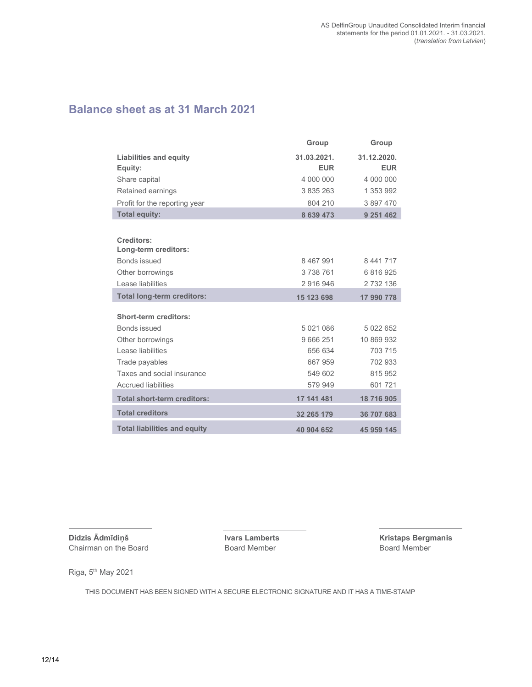## Balance sheet as at 31 March 2021

|                                     | Group         | Group       |
|-------------------------------------|---------------|-------------|
| <b>Liabilities and equity</b>       | 31.03.2021.   | 31.12.2020. |
| Equity:                             | <b>EUR</b>    | <b>EUR</b>  |
| Share capital                       | 4 000 000     | 4 000 000   |
| Retained earnings                   | 3 835 263     | 1 353 992   |
| Profit for the reporting year       | 804 210       | 3 897 470   |
| <b>Total equity:</b>                | 8 639 473     | 9 251 462   |
|                                     |               |             |
| Creditors:                          |               |             |
| Long-term creditors:                |               |             |
| <b>Bonds issued</b>                 | 8 4 6 7 9 9 1 | 8 441 717   |
| Other borrowings                    | 3738761       | 6 816 925   |
| Lease liabilities                   | 2916946       | 2732136     |
| <b>Total long-term creditors:</b>   | 15 123 698    | 17 990 778  |
|                                     |               |             |
| <b>Short-term creditors:</b>        |               |             |
| <b>Bonds issued</b>                 | 5021086       | 5 022 652   |
| Other borrowings                    | 9 6 6 2 5 1   | 10 869 932  |
| Lease liabilities                   | 656 634       | 703 715     |
| Trade payables                      | 667 959       | 702 933     |
| Taxes and social insurance          | 549 602       | 815 952     |
| <b>Accrued liabilities</b>          | 579 949       | 601721      |
| <b>Total short-term creditors:</b>  | 17 141 481    | 18 716 905  |
| <b>Total creditors</b>              | 32 265 179    | 36 707 683  |
| <b>Total liabilities and equity</b> | 40 904 652    | 45 959 145  |

Didzis Ādmīdiņš **Ivars Lamberts** Ivars Lamberts Kristaps Bergmanis Chairman on the Board Board Member Board Member

Riga, 5<sup>th</sup> May 2021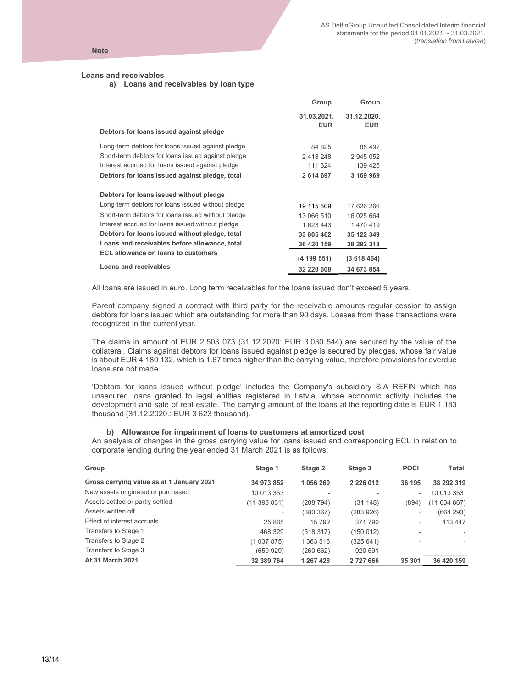Group Group

#### Loans and receivables

a) Loans and receivables by loan type

| Debtors for loans issued against pledge                                                                                                                                                                | 31.03.2021.<br><b>EUR</b>           | 31.12.2020.<br><b>EUR</b>             |
|--------------------------------------------------------------------------------------------------------------------------------------------------------------------------------------------------------|-------------------------------------|---------------------------------------|
| Long-term debtors for loans issued against pledge<br>Short-term debtors for loans issued against pledge                                                                                                | 84 825<br>2418248                   | 85 492<br>2 945 052                   |
| Interest accrued for loans issued against pledge                                                                                                                                                       | 111 624                             | 139 425                               |
| Debtors for loans issued against pledge, total                                                                                                                                                         | 2 614 697                           | 3 169 969                             |
| Debtors for loans issued without pledge<br>Long-term debtors for loans issued without pledge<br>Short-term debtors for loans issued without pledge<br>Interest accrued for loans issued without pledge | 19 115 509<br>13 066 510<br>1623443 | 17 626 266<br>16 025 664<br>1 470 419 |
| Debtors for loans issued without pledge, total                                                                                                                                                         | 33 805 462                          | 35 122 349                            |
| Loans and receivables before allowance, total                                                                                                                                                          | 36 420 159                          | 38 292 318                            |
| <b>ECL allowance on loans to customers</b><br>Loans and receivables                                                                                                                                    | (4 199 551)                         | (3618464)                             |
|                                                                                                                                                                                                        | 32 220 608                          | 34 673 854                            |

All loans are issued in euro. Long term receivables for the loans issued don't exceed 5 years.

Parent company signed a contract with third party for the receivable amounts regular cession to assign debtors for loans issued which are outstanding for more than 90 days. Losses from these transactions were recognized in the current year.

The claims in amount of EUR 2 503 073 (31.12.2020: EUR 3 030 544) are secured by the value of the collateral. Claims against debtors for loans issued against pledge is secured by pledges, whose fair value is about EUR 4 180 132, which is 1.67 times higher than the carrying value, therefore provisions for overdue loans are not made.

'Debtors for loans issued without pledge' includes the Company's subsidiary SIA REFIN which has unsecured loans granted to legal entities registered in Latvia, whose economic activity includes the development and sale of real estate. The carrying amount of the loans at the reporting date is EUR 1 183 thousand (31.12.2020.: EUR 3 623 thousand).

#### b) Allowance for impairment of loans to customers at amortized cost

An analysis of changes in the gross carrying value for loans issued and corresponding ECL in relation to corporate lending during the year ended 31 March 2021 is as follows:

| Group                                     | Stage 1                  | Stage 2   | Stage 3       | <b>POCI</b>              | Total                    |
|-------------------------------------------|--------------------------|-----------|---------------|--------------------------|--------------------------|
| Gross carrying value as at 1 January 2021 | 34 973 852               | 1 056 260 | 2 2 2 6 0 1 2 | 36 195                   | 38 292 319               |
| New assets originated or purchased        | 10 013 353               |           |               | $\overline{\phantom{a}}$ | 10 013 353               |
| Assets settled or partly settled          | (11 393 831)             | (208 794) | (31148)       | (894)                    | (11634667)               |
| Assets written off                        | $\overline{\phantom{a}}$ | (380 367) | (283 926)     | ٠                        | (664 293)                |
| Effect of interest accruals               | 25 865                   | 15 792    | 371790        | $\overline{\phantom{a}}$ | 413 447                  |
| Transfers to Stage 1                      | 468 329                  | (318 317) | (150 012)     | ٠                        | $\sim$                   |
| Transfers to Stage 2                      | (1 037 875)              | 1 363 516 | (325 641)     | $\overline{\phantom{a}}$ | ٠                        |
| Transfers to Stage 3                      | (659929)                 | (260 662) | 920 591       |                          | $\overline{\phantom{a}}$ |
| At 31 March 2021                          | 32 389 764               | 1 267 428 | 2 727 666     | 35 301                   | 36 420 159               |